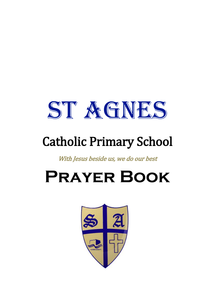

# Catholic Primary School

With Jesus beside us, we do our best

# **Prayer Book**

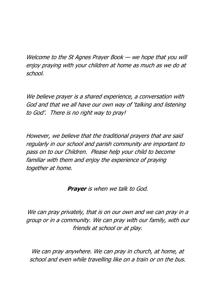Welcome to the St Agnes Prayer Book — we hope that you will enjoy praying with your children at home as much as we do at school.

We believe prayer is a shared experience, a conversation with God and that we all have our own way of 'talking and listening to God'. There is no right way to pray!

However, we believe that the traditional prayers that are said regularly in our school and parish community are important to pass on to our Children. Please help your child to become familiar with them and enjoy the experience of praying together at home.

**Prayer** is when we talk to God.

We can pray privately, that is on our own and we can pray in a group or in a community. We can pray with our family, with our friends at school or at play.

We can pray anywhere. We can pray in church, at home, at school and even while travelling like on a train or on the bus.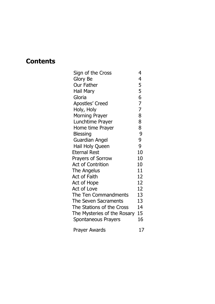## **Contents**

| Sign of the Cross           | 4              |
|-----------------------------|----------------|
| Glory Be                    | $\overline{4}$ |
| <b>Our Father</b>           |                |
| Hail Mary                   |                |
| Gloria                      | 5567           |
| <b>Apostles' Creed</b>      |                |
| Holy, Holy                  | $\overline{7}$ |
| <b>Morning Prayer</b>       | 8              |
| Lunchtime Prayer            | 8              |
| Home time Prayer            | 8              |
| <b>Blessing</b>             | 9              |
| <b>Guardian Angel</b>       | 9              |
| Hail Holy Queen             | 9              |
| <b>Eternal Rest</b>         | 10             |
| <b>Prayers of Sorrow</b>    | 10             |
| <b>Act of Contrition</b>    | 10             |
| The Angelus                 | 11             |
| Act of Faith                | 12             |
| Act of Hope                 | 12             |
| <b>Act of Love</b>          | 12             |
| The Ten Commandments        | 13             |
| The Seven Sacraments        | 13             |
| The Stations of the Cross   | 14             |
| The Mysteries of the Rosary | 15             |
| Spontaneous Prayers         | 16             |
| <b>Prayer Awards</b>        | 17             |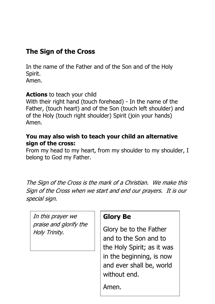# **The Sign of the Cross**

In the name of the Father and of the Son and of the Holy Spirit. Amen.

#### **Actions** to teach your child

With their right hand (touch forehead) - In the name of the Father, (touch heart) and of the Son (touch left shoulder) and of the Holy (touch right shoulder) Spirit (join your hands) Amen.

#### **You may also wish to teach your child an alternative sign of the cross:**

From my head to my heart, from my shoulder to my shoulder, I belong to God my Father.

The Sign of the Cross is the mark of a Christian. We make this Sign of the Cross when we start and end our prayers. It is our special sign.

In this prayer we praise and glorify the Holy Trinity.

#### **Glory Be**

Glory be to the Father and to the Son and to the Holy Spirit; as it was in the beginning, is now and ever shall be, world without end.

Amen.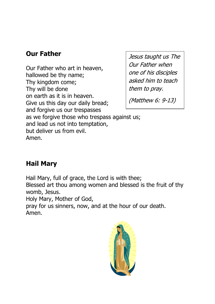# **Our Father**

Our Father who art in heaven, hallowed be thy name; Thy kingdom come; Thy will be done on earth as it is in heaven. Give us this day our daily bread; and forgive us our trespasses as we forgive those who trespass against us; and lead us not into temptation, but deliver us from evil. Amen.

Jesus taught us The Our Father when one of his disciples asked him to teach them to pray.

(Matthew 6: 9-13)

#### **Hail Mary**

Hail Mary, full of grace, the Lord is with thee;

Blessed art thou among women and blessed is the fruit of thy womb, Jesus.

Holy Mary, Mother of God,

pray for us sinners, now, and at the hour of our death. Amen.

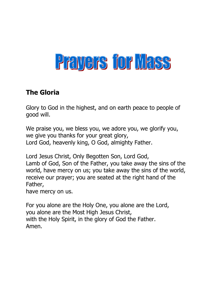# Prayers for Mass

#### **The Gloria**

Glory to God in the highest, and on earth peace to people of good will.

We praise you, we bless you, we adore you, we glorify you, we give you thanks for your great glory, Lord God, heavenly king, O God, almighty Father.

Lord Jesus Christ, Only Begotten Son, Lord God, Lamb of God, Son of the Father, you take away the sins of the world, have mercy on us; you take away the sins of the world, receive our prayer; you are seated at the right hand of the Father,

have mercy on us.

For you alone are the Holy One, you alone are the Lord, you alone are the Most High Jesus Christ, with the Holy Spirit, in the glory of God the Father. Amen.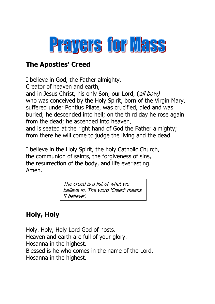

# **The Apostles' Creed**

I believe in God, the Father almighty, Creator of heaven and earth, and in Jesus Christ, his only Son, our Lord, (all bow) who was conceived by the Holy Spirit, born of the Virgin Mary, suffered under Pontius Pilate, was crucified, died and was buried; he descended into hell; on the third day he rose again from the dead; he ascended into heaven, and is seated at the right hand of God the Father almighty; from there he will come to judge the living and the dead.

I believe in the Holy Spirit, the holy Catholic Church, the communion of saints, the forgiveness of sins, the resurrection of the body, and life everlasting. Amen.

> The creed is a list of what we believe in. The word 'Creed' means 'I believe'.

# **Holy, Holy**

Holy. Holy, Holy Lord God of hosts. Heaven and earth are full of your glory. Hosanna in the highest. Blessed is he who comes in the name of the Lord. Hosanna in the highest.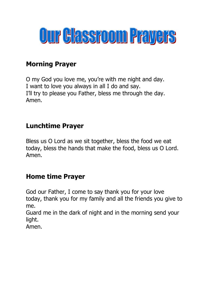

# **Morning Prayer**

O my God you love me, you're with me night and day. I want to love you always in all I do and say. I'll try to please you Father, bless me through the day. Amen.

# **Lunchtime Prayer**

Bless us O Lord as we sit together, bless the food we eat today, bless the hands that make the food, bless us O Lord. Amen.

# **Home time Prayer**

God our Father, I come to say thank you for your love today, thank you for my family and all the friends you give to me.

Guard me in the dark of night and in the morning send your light.

Amen.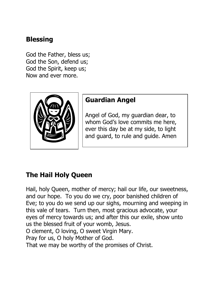# **Blessing**

God the Father, bless us; God the Son, defend us; God the Spirit, keep us; Now and ever more.



# **Guardian Angel**

Angel of God, my guardian dear, to whom God's love commits me here, ever this day be at my side, to light and guard, to rule and guide. Amen

# **The Hail Holy Queen**

Hail, holy Queen, mother of mercy; hail our life, our sweetness, and our hope. To you do we cry, poor banished children of Eve; to you do we send up our sighs, mourning and weeping in this vale of tears. Turn then, most gracious advocate, your eyes of mercy towards us; and after this our exile, show unto us the blessed fruit of your womb, Jesus. O clement, O loving, O sweet Virgin Mary. Pray for us, O holy Mother of God.

That we may be worthy of the promises of Christ.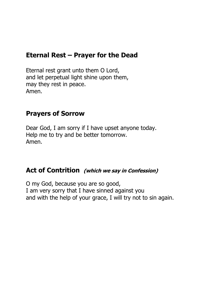#### **Eternal Rest – Prayer for the Dead**

Eternal rest grant unto them O Lord, and let perpetual light shine upon them, may they rest in peace. Amen.

#### **Prayers of Sorrow**

Dear God, I am sorry if I have upset anyone today. Help me to try and be better tomorrow. Amen.

#### **Act of Contrition (which we say in Confession)**

O my God, because you are so good, I am very sorry that I have sinned against you and with the help of your grace, I will try not to sin again.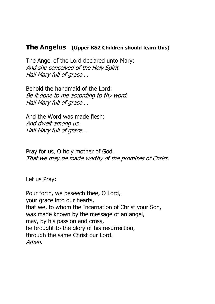#### **The Angelus (Upper KS2 Children should learn this)**

The Angel of the Lord declared unto Mary: And she conceived of the Holy Spirit. Hail Mary full of grace …

Behold the handmaid of the Lord: Be it done to me according to thy word. Hail Mary full of grace …

And the Word was made flesh: And dwelt among us. Hail Mary full of grace …

Pray for us, O holy mother of God. That we may be made worthy of the promises of Christ.

Let us Pray:

Pour forth, we beseech thee, O Lord, your grace into our hearts, that we, to whom the Incarnation of Christ your Son, was made known by the message of an angel, may, by his passion and cross, be brought to the glory of his resurrection, through the same Christ our Lord. Amen.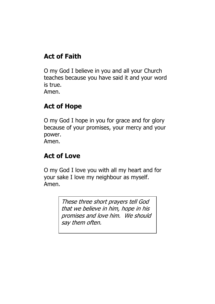# **Act of Faith**

O my God I believe in you and all your Church teaches because you have said it and your word is true. Amen.

# **Act of Hope**

O my God I hope in you for grace and for glory because of your promises, your mercy and your power. Amen.

# **Act of Love**

O my God I love you with all my heart and for your sake I love my neighbour as myself. Amen.

> These three short prayers tell God that we believe in him, hope in his promises and love him. We should say them often.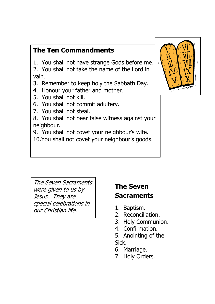# **The Ten Commandments**

1. You shall not have strange Gods before me.

2. You shall not take the name of the Lord in vain.

- 3. Remember to keep holy the Sabbath Day.
- 4. Honour your father and mother.
- 5. You shall not kill.
- 6. You shall not commit adultery.
- 7. You shall not steal.

8. You shall not bear false witness against your neighbour.

9. You shall not covet your neighbour's wife.

10.You shall not covet your neighbour's goods.



 The Seven Sacraments were given to us by Jesus. They are special celebrations in our Christian life.

# **The Seven Sacraments**

- 1. Baptism.
- 2. Reconciliation.
- 3. Holy Communion.
- 4. Confirmation.
- 5. Anointing of the Sick.
- 6. Marriage.
- 7. Holy Orders.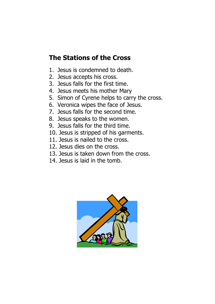# **The Stations of the Cross**

- 1. Jesus is condemned to death.
- 2. Jesus accepts his cross.
- 3. Jesus falls for the first time.
- 4. Jesus meets his mother Mary
- 5. Simon of Cyrene helps to carry the cross.
- 6. Veronica wipes the face of Jesus.
- 7. Jesus falls for the second time.
- 8. Jesus speaks to the women.
- 9. Jesus falls for the third time.
- 10. Jesus is stripped of his garments.
- 11. Jesus is nailed to the cross.
- 12. Jesus dies on the cross.
- 13. Jesus is taken down from the cross.
- 14. Jesus is laid in the tomb.

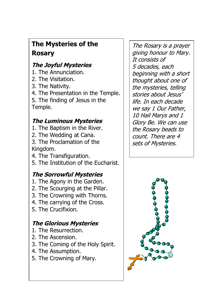# **The Mysteries of the Rosary**

# **The Joyful Mysteries**

- 1. The Annunciation.
- 2. The Visitation.
- 3. The Nativity.

 $\overline{\phantom{a}}$ 

- 4. The Presentation in the Temple.
- 5. The finding of Jesus in the Temple.

## **The Luminous Mysteries**

- 1. The Baptism in the River.
- 2. The Wedding at Cana.
- 3. The Proclamation of the Kingdom.
- 4. The Transfiguration.
- 5. The Institution of the Eucharist.

# **The Sorrowful Mysteries**

- 1. The Agony in the Garden.
- 2. The Scourging at the Pillar.
- 3. The Crowning with Thorns.
- 4. The carrying of the Cross.
- 5. The Crucifixion.

 $\overline{\phantom{a}}$ 

# **The Glorious Mysteries**

- 1. The Resurrection.
- 2. The Ascension.
- 3. The Coming of the Holy Spirit.
- 4. The Assumption.
- 5. The Crowning of Mary.

The Rosary is a prayer giving honour to Mary. It consists of 5 decades, each beginning with a short thought about one of the mysteries, telling stories about Jesus' life. In each decade we say 1 Our Father, 10 Hail Marys and 1 Glory Be. We can use the Rosary beads to count. There are 4 sets of Mysteries.

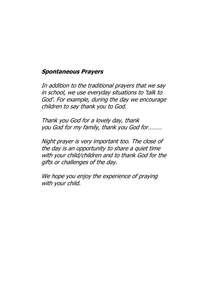#### **Spontaneous Prayers**

In addition to the traditional prayers that we say in school, we use everyday situations to 'talk to God'. For example, during the day we encourage children to say thank you to God.

Thank you God for a lovely day, thank you God for my family, thank you God for………

Night prayer is very important too. The close of the day is an opportunity to share a quiet time with your child/children and to thank God for the gifts or challenges of the day.

We hope you enjoy the experience of praying with your child.